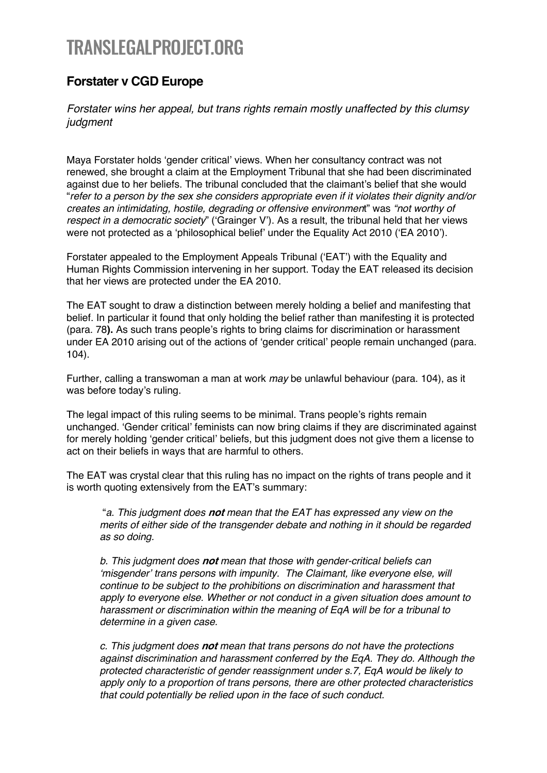## TRANSLEGALPROJECT.ORG

## **Forstater v CGD Europe**

*Forstater wins her appeal, but trans rights remain mostly unaffected by this clumsy judgment* 

Maya Forstater holds 'gender critical' views. When her consultancy contract was not renewed, she brought a claim at the Employment Tribunal that she had been discriminated against due to her beliefs. The tribunal concluded that the claimant's belief that she would "*refer to a person by the sex she considers appropriate even if it violates their dignity and/or creates an intimidating, hostile, degrading or offensive environmen*t" was *"not worthy of respect in a democratic society*" ('Grainger V'). As a result, the tribunal held that her views were not protected as a 'philosophical belief' under the Equality Act 2010 ('EA 2010').

Forstater appealed to the Employment Appeals Tribunal ('EAT') with the Equality and Human Rights Commission intervening in her support. Today the EAT released its decision that her views are protected under the EA 2010.

The EAT sought to draw a distinction between merely holding a belief and manifesting that belief. In particular it found that only holding the belief rather than manifesting it is protected (para. 78**).** As such trans people's rights to bring claims for discrimination or harassment under EA 2010 arising out of the actions of 'gender critical' people remain unchanged (para. 104).

Further, calling a transwoman a man at work *may* be unlawful behaviour (para. 104), as it was before today's ruling.

The legal impact of this ruling seems to be minimal. Trans people's rights remain unchanged. 'Gender critical' feminists can now bring claims if they are discriminated against for merely holding 'gender critical' beliefs, but this judgment does not give them a license to act on their beliefs in ways that are harmful to others.

The EAT was crystal clear that this ruling has no impact on the rights of trans people and it is worth quoting extensively from the EAT's summary:

"*a. This judgment does* **not** *mean that the EAT has expressed any view on the merits of either side of the transgender debate and nothing in it should be regarded as so doing.* 

*b. This judgment does* **not** *mean that those with gender-critical beliefs can 'misgender' trans persons with impunity. The Claimant, like everyone else, will continue to be subject to the prohibitions on discrimination and harassment that apply to everyone else. Whether or not conduct in a given situation does amount to harassment or discrimination within the meaning of EqA will be for a tribunal to determine in a given case.*

*c. This judgment does* **not** *mean that trans persons do not have the protections against discrimination and harassment conferred by the EqA. They do. Although the protected characteristic of gender reassignment under s.7, EqA would be likely to apply only to a proportion of trans persons, there are other protected characteristics that could potentially be relied upon in the face of such conduct.*